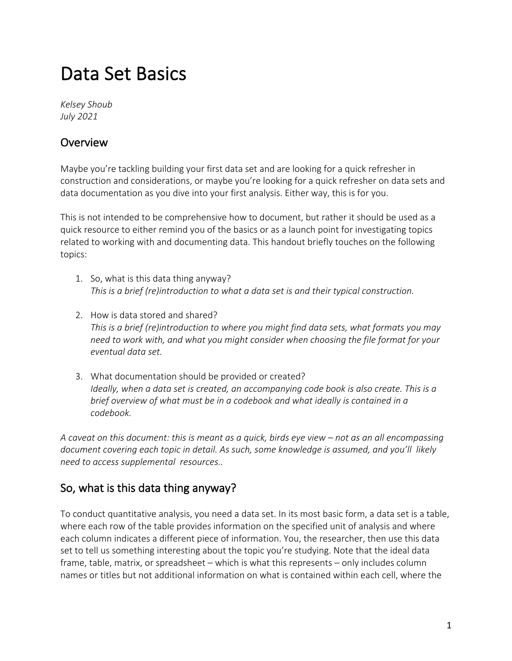# Data Set Basics

*Kelsey Shoub July 2021*

#### **Overview**

Maybe you're tackling building your first data set and are looking for a quick refresher in construction and considerations, or maybe you're looking for a quick refresher on data sets and data documentation as you dive into your first analysis. Either way, this is for you.

This is not intended to be comprehensive how to document, but rather it should be used as a quick resource to either remind you of the basics or as a launch point for investigating topics related to working with and documenting data. This handout briefly touches on the following topics:

- 1. So, what is this data thing anyway? *This is a brief (re)introduction to what a data set is and their typical construction.*
- 2. How is data stored and shared? *This is a brief (re)introduction to where you might find data sets, what formats you may need to work with, and what you might consider when choosing the file format for your eventual data set.*
- 3. What documentation should be provided or created? *Ideally, when a data set is created, an accompanying code book is also create. This is a brief overview of what must be in a codebook and what ideally is contained in a codebook.*

*A caveat on this document: this is meant as a quick, birds eye view – not as an all encompassing document covering each topic in detail. As such, some knowledge is assumed, and you'll likely need to access supplemental resources..* 

## So, what is this data thing anyway?

To conduct quantitative analysis, you need a data set. In its most basic form, a data set is a table, where each row of the table provides information on the specified unit of analysis and where each column indicates a different piece of information. You, the researcher, then use this data set to tell us something interesting about the topic you're studying. Note that the ideal data frame, table, matrix, or spreadsheet – which is what this represents – only includes column names or titles but not additional information on what is contained within each cell, where the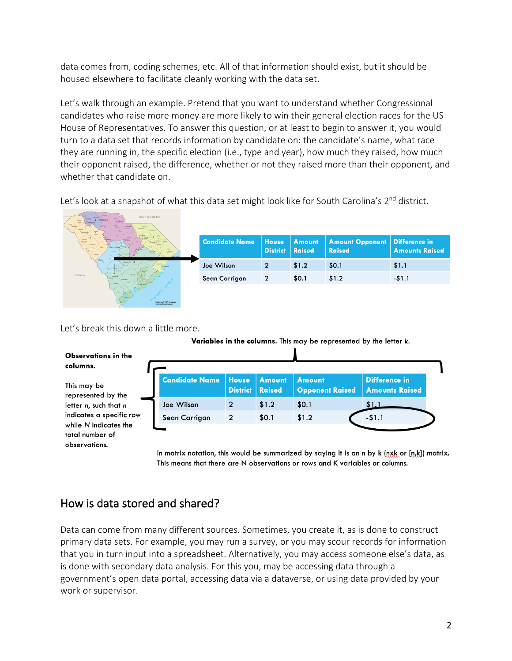data comes from, coding schemes, etc. All of that information should exist, but it should be housed elsewhere to facilitate cleanly working with the data set.

Let's walk through an example. Pretend that you want to understand whether Congressional candidates who raise more money are more likely to win their general election races for the US House of Representatives. To answer this question, or at least to begin to answer it, you would turn to a data set that records information by candidate on: the candidate's name, what race they are running in, the specific election (i.e., type and year), how much they raised, how much their opponent raised, the difference, whether or not they raised more than their opponent, and whether that candidate on.

Let's look at a snapshot of what this data set might look like for South Carolina's 2<sup>nd</sup> district.

| NORTH CAROLINA                                |                       |                                 |                                |                                                         |                       |
|-----------------------------------------------|-----------------------|---------------------------------|--------------------------------|---------------------------------------------------------|-----------------------|
| Fairfield<br>Abberlik<br>Atheville<br>Edefald | <b>Candidate Name</b> | <b>House</b><br><b>District</b> | <b>Amount</b><br><b>Raised</b> | <b>Amount Opponent   Difference in</b><br><b>Raised</b> | <b>Amounts Raised</b> |
| Aken.                                         | Joe Wilson            | $\overline{2}$                  | \$1.2                          | \$0.1                                                   | \$1.1                 |
| <b>GEORGIA</b>                                | Sean Carrigan         | $\mathbf{2}$                    | \$0.1                          | \$1.2                                                   | $-51.1$               |
| <b>Bistricts of 113<sup>th</sup> Congress</b> |                       |                                 |                                |                                                         |                       |

Let's break this down a little more.

Variables in the columns. This may be represented by the letter k.

| Observations in the<br>columns.                                      |                       |                                 |                                |                                         |                                               |  |
|----------------------------------------------------------------------|-----------------------|---------------------------------|--------------------------------|-----------------------------------------|-----------------------------------------------|--|
| This may be<br>represented by the                                    | <b>Candidate Name</b> | <b>House</b><br><b>District</b> | <b>Amount</b><br><b>Raised</b> | <b>Amount</b><br><b>Opponent Raised</b> | <b>Difference in</b><br><b>Amounts Raised</b> |  |
| letter n, such that n                                                | Joe Wilson            | $\mathbf{2}$                    | \$1.2                          | \$0.1                                   | \$1.1                                         |  |
| indicates a specific row<br>while N indicates the<br>total number of | Sean Carrigan         | $\overline{2}$                  | \$0.1                          | \$1.2                                   | $-$1.1$                                       |  |
| observations.                                                        |                       |                                 |                                |                                         |                                               |  |

In matrix notation, this would be summarized by saying it is an n by k (nxk or  $[n,k]$ ) matrix. This means that there are N observations or rows and K variables or columns.

## How is data stored and shared?

Data can come from many different sources. Sometimes, you create it, as is done to construct primary data sets. For example, you may run a survey, or you may scour records for information that you in turn input into a spreadsheet. Alternatively, you may access someone else's data, as is done with secondary data analysis. For this you, may be accessing data through a government's open data portal, accessing data via a dataverse, or using data provided by your work or supervisor.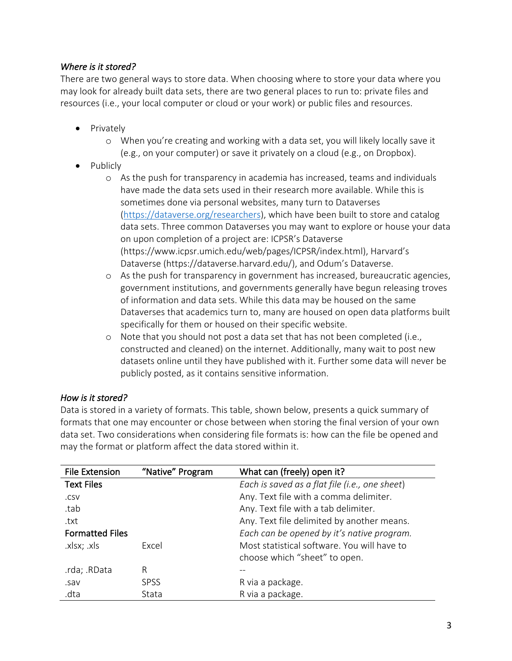#### *Where is it stored?*

There are two general ways to store data. When choosing where to store your data where you may look for already built data sets, there are two general places to run to: private files and resources (i.e., your local computer or cloud or your work) or public files and resources.

- Privately
	- o When you're creating and working with a data set, you will likely locally save it (e.g., on your computer) or save it privately on a cloud (e.g., on Dropbox).
- Publicly
	- o As the push for transparency in academia has increased, teams and individuals have made the data sets used in their research more available. While this is sometimes done via personal websites, many turn to Dataverses (https://dataverse.org/researchers), which have been built to store and catalog data sets. Three common Dataverses you may want to explore or house your data on upon completion of a project are: ICPSR's Dataverse (https://www.icpsr.umich.edu/web/pages/ICPSR/index.html), Harvard's Dataverse (https://dataverse.harvard.edu/), and Odum's Dataverse.
	- o As the push for transparency in government has increased, bureaucratic agencies, government institutions, and governments generally have begun releasing troves of information and data sets. While this data may be housed on the same Dataverses that academics turn to, many are housed on open data platforms built specifically for them or housed on their specific website.
	- o Note that you should not post a data set that has not been completed (i.e., constructed and cleaned) on the internet. Additionally, many wait to post new datasets online until they have published with it. Further some data will never be publicly posted, as it contains sensitive information.

#### *How is it stored?*

Data is stored in a variety of formats. This table, shown below, presents a quick summary of formats that one may encounter or chose between when storing the final version of your own data set. Two considerations when considering file formats is: how can the file be opened and may the format or platform affect the data stored within it.

| <b>File Extension</b>  | "Native" Program | What can (freely) open it?                     |
|------------------------|------------------|------------------------------------------------|
| <b>Text Files</b>      |                  | Each is saved as a flat file (i.e., one sheet) |
| .CSV                   |                  | Any. Text file with a comma delimiter.         |
| .tab                   |                  | Any. Text file with a tab delimiter.           |
| .txt                   |                  | Any. Text file delimited by another means.     |
| <b>Formatted Files</b> |                  | Each can be opened by it's native program.     |
| .xlsx; .xls            | Excel            | Most statistical software. You will have to    |
|                        |                  | choose which "sheet" to open.                  |
| rda; .RData.           | R                |                                                |
| .sav                   | <b>SPSS</b>      | R via a package.                               |
| .dta                   | Stata            | R via a package.                               |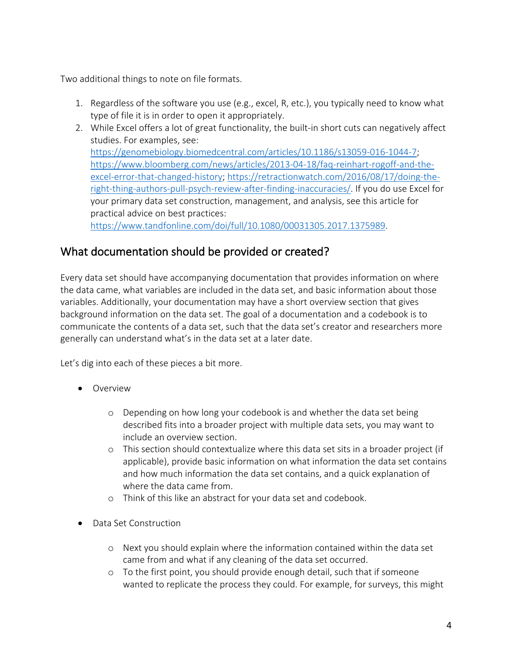Two additional things to note on file formats.

- 1. Regardless of the software you use (e.g., excel, R, etc.), you typically need to know what type of file it is in order to open it appropriately.
- 2. While Excel offers a lot of great functionality, the built-in short cuts can negatively affect studies. For examples, see: https://genomebiology.biomedcentral.com/articles/10.1186/s13059-016-1044-7; https://www.bloomberg.com/news/articles/2013-04-18/faq-reinhart-rogoff-and-theexcel-error-that-changed-history; https://retractionwatch.com/2016/08/17/doing-theright-thing-authors-pull-psych-review-after-finding-inaccuracies/. If you do use Excel for your primary data set construction, management, and analysis, see this article for practical advice on best practices: https://www.tandfonline.com/doi/full/10.1080/00031305.2017.1375989.

### What documentation should be provided or created?

Every data set should have accompanying documentation that provides information on where the data came, what variables are included in the data set, and basic information about those variables. Additionally, your documentation may have a short overview section that gives background information on the data set. The goal of a documentation and a codebook is to communicate the contents of a data set, such that the data set's creator and researchers more generally can understand what's in the data set at a later date.

Let's dig into each of these pieces a bit more.

- Overview
	- o Depending on how long your codebook is and whether the data set being described fits into a broader project with multiple data sets, you may want to include an overview section.
	- o This section should contextualize where this data set sits in a broader project (if applicable), provide basic information on what information the data set contains and how much information the data set contains, and a quick explanation of where the data came from.
	- o Think of this like an abstract for your data set and codebook.
- Data Set Construction
	- o Next you should explain where the information contained within the data set came from and what if any cleaning of the data set occurred.
	- o To the first point, you should provide enough detail, such that if someone wanted to replicate the process they could. For example, for surveys, this might